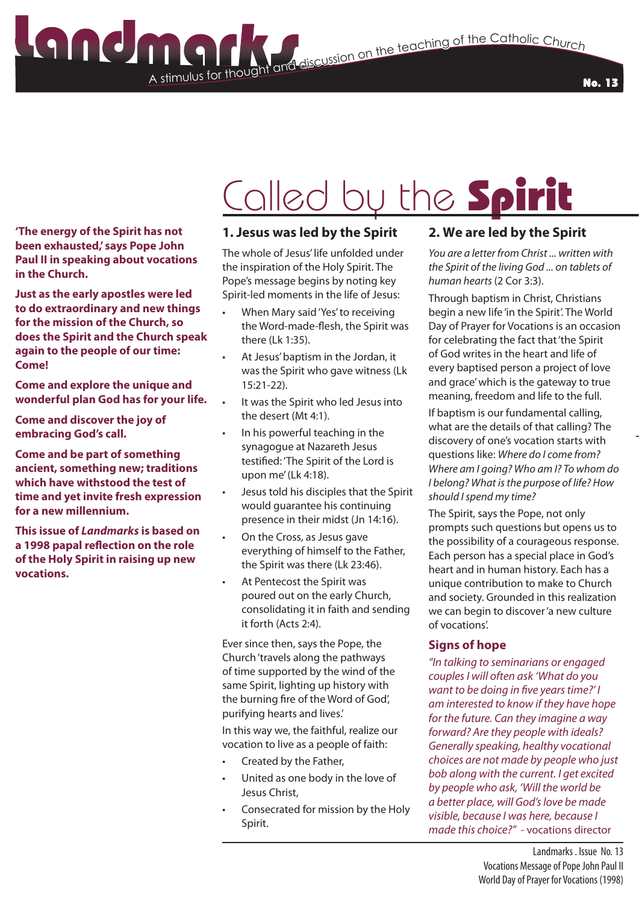A stimulus for thought **Stimulus for the Catholic Church**<br>The teaching of the Catholic Church

No. 13

## Called by the Spirit

**'The energy of the Spirit has not been exhausted,' says Pope John Paul II in speaking about vocations in the Church.** 

**Just as the early apostles were led to do extraordinary and new things for the mission of the Church, so does the Spirit and the Church speak again to the people of our time: Come!**

**Come and explore the unique and wonderful plan God has for your life.** 

**Come and discover the joy of embracing God's call.** 

**Come and be part of something ancient, something new; traditions which have withstood the test of time and yet invite fresh expression for a new millennium.**

**This issue of** *Landmarks* **is based on a 1998 papal reflection on the role of the Holy Spirit in raising up new vocations.**

### **1. Jesus was led by the Spirit**

The whole of Jesus' life unfolded under the inspiration of the Holy Spirit. The Pope's message begins by noting key Spirit-led moments in the life of Jesus:

- When Mary said 'Yes' to receiving the Word-made-flesh, the Spirit was there (Lk 1:35).
- At Jesus' baptism in the Jordan, it was the Spirit who gave witness (Lk 15:21-22).
- It was the Spirit who led Jesus into the desert (Mt 4:1).
- In his powerful teaching in the synagogue at Nazareth Jesus testified: 'The Spirit of the Lord is upon me' (Lk 4:18).
- Jesus told his disciples that the Spirit would guarantee his continuing presence in their midst (Jn 14:16).
- On the Cross, as Jesus gave everything of himself to the Father, the Spirit was there (Lk 23:46).
- At Pentecost the Spirit was poured out on the early Church, consolidating it in faith and sending it forth (Acts 2:4).

Ever since then, says the Pope, the Church 'travels along the pathways of time supported by the wind of the same Spirit, lighting up history with the burning fire of the Word of God', purifying hearts and lives.'

In this way we, the faithful, realize our vocation to live as a people of faith:

- Created by the Father,
- United as one body in the love of Jesus Christ,
- Consecrated for mission by the Holy Spirit.

### **2. We are led by the Spirit**

*You are a letter from Christ ... written with the Spirit of the living God ... on tablets of human hearts* (2 Cor 3:3).

Through baptism in Christ, Christians begin a new life 'in the Spirit'. The World Day of Prayer for Vocations is an occasion for celebrating the fact that 'the Spirit of God writes in the heart and life of every baptised person a project of love and grace' which is the gateway to true meaning, freedom and life to the full.

If baptism is our fundamental calling, what are the details of that calling? The discovery of one's vocation starts with questions like: *Where do I come from? Where am I going? Who am I? To whom do I belong? What is the purpose of life? How should I spend my time?*

The Spirit, says the Pope, not only prompts such questions but opens us to the possibility of a courageous response. Each person has a special place in God's heart and in human history. Each has a unique contribution to make to Church and society. Grounded in this realization we can begin to discover 'a new culture of vocations'.

### **Signs of hope**

*"In talking to seminarians or engaged couples I will often ask 'What do you want to be doing in five years time?' I am interested to know if they have hope for the future. Can they imagine a way forward? Are they people with ideals? Generally speaking, healthy vocational choices are not made by people who just bob along with the current. I get excited by people who ask, 'Will the world be a better place, will God's love be made visible, because I was here, because I made this choice?"* - vocations director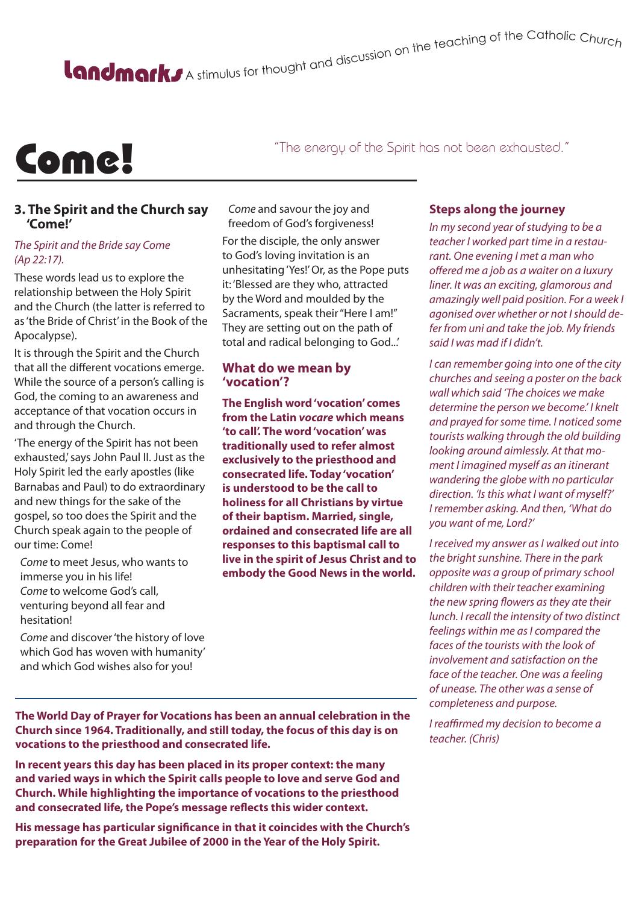# A stimulus for thought and discussion on the teaching of the Catholic Churc<sub>h</sub>

## Come!

"The energy of the Spirit has not been exhausted."

### **3. The Spirit and the Church say 'Come!'**

#### *The Spirit and the Bride say Come (Ap 22:17).*

These words lead us to explore the relationship between the Holy Spirit and the Church (the latter is referred to as 'the Bride of Christ' in the Book of the Apocalypse).

It is through the Spirit and the Church that all the different vocations emerge. While the source of a person's calling is God, the coming to an awareness and acceptance of that vocation occurs in and through the Church.

'The energy of the Spirit has not been exhausted,' says John Paul II. Just as the Holy Spirit led the early apostles (like Barnabas and Paul) to do extraordinary and new things for the sake of the gospel, so too does the Spirit and the Church speak again to the people of our time: Come!

*Come* to meet Jesus, who wants to immerse you in his life! *Come* to welcome God's call, venturing beyond all fear and hesitation!

*Come* and discover 'the history of love which God has woven with humanity' and which God wishes also for you!

*Come* and savour the joy and freedom of God's forgiveness!

For the disciple, the only answer to God's loving invitation is an unhesitating 'Yes!' Or, as the Pope puts it: 'Blessed are they who, attracted by the Word and moulded by the Sacraments, speak their "Here I am!" They are setting out on the path of total and radical belonging to God...'

### **What do we mean by 'vocation'?**

**The English word 'vocation' comes from the Latin** *vocare* **which means 'to call'. The word 'vocation' was traditionally used to refer almost exclusively to the priesthood and consecrated life. Today 'vocation' is understood to be the call to holiness for all Christians by virtue of their baptism. Married, single, ordained and consecrated life are all responses to this baptismal call to live in the spirit of Jesus Christ and to embody the Good News in the world.**

### **Steps along the journey**

*In my second year of studying to be a teacher I worked part time in a restaurant. One evening I met a man who offered me a job as a waiter on a luxury liner. It was an exciting, glamorous and amazingly well paid position. For a week I agonised over whether or not I should defer from uni and take the job. My friends said I was mad if I didn't.*

*I can remember going into one of the city churches and seeing a poster on the back wall which said 'The choices we make determine the person we become.' I knelt and prayed for some time. I noticed some tourists walking through the old building looking around aimlessly. At that moment I imagined myself as an itinerant wandering the globe with no particular direction. 'Is this what I want of myself?' I remember asking. And then, 'What do you want of me, Lord?'*

*I received my answer as I walked out into the bright sunshine. There in the park opposite was a group of primary school children with their teacher examining the new spring flowers as they ate their lunch. I recall the intensity of two distinct feelings within me as I compared the faces of the tourists with the look of involvement and satisfaction on the face of the teacher. One was a feeling of unease. The other was a sense of completeness and purpose.* 

*I reaffirmed my decision to become a teacher. (Chris)*

**The World Day of Prayer for Vocations has been an annual celebration in the Church since 1964. Traditionally, and still today, the focus of this day is on vocations to the priesthood and consecrated life.** 

**In recent years this day has been placed in its proper context: the many and varied ways in which the Spirit calls people to love and serve God and Church. While highlighting the importance of vocations to the priesthood and consecrated life, the Pope's message reflects this wider context.** 

**His message has particular significance in that it coincides with the Church's preparation for the Great Jubilee of 2000 in the Year of the Holy Spirit.**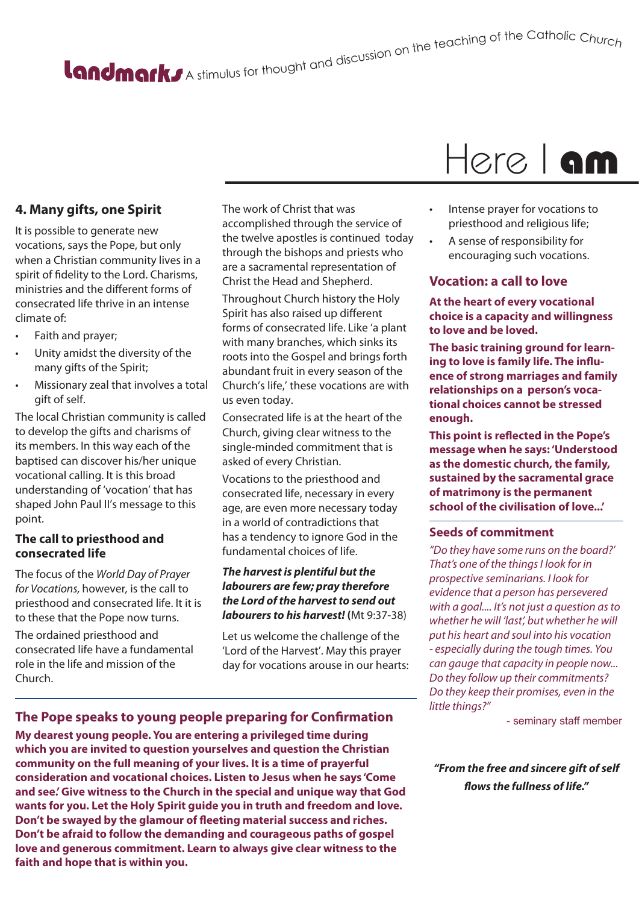# A stimulus for thought and discussion on the teaching of the Catholic Churc<sub>h</sub>

### **4. Many gifts, one Spirit**

It is possible to generate new vocations, says the Pope, but only when a Christian community lives in a spirit of fidelity to the Lord. Charisms, ministries and the different forms of consecrated life thrive in an intense climate of:

- Faith and prayer;
- Unity amidst the diversity of the many gifts of the Spirit;
- Missionary zeal that involves a total gift of self.

The local Christian community is called to develop the gifts and charisms of its members. In this way each of the baptised can discover his/her unique vocational calling. It is this broad understanding of 'vocation' that has shaped John Paul II's message to this point.

### **The call to priesthood and consecrated life**

The focus of the *World Day of Prayer for Vocations,* however*,* is the call to priesthood and consecrated life. It it is to these that the Pope now turns.

The ordained priesthood and consecrated life have a fundamental role in the life and mission of the Church.

The work of Christ that was accomplished through the service of the twelve apostles is continued today through the bishops and priests who are a sacramental representation of Christ the Head and Shepherd.

Throughout Church history the Holy Spirit has also raised up different forms of consecrated life. Like 'a plant with many branches, which sinks its roots into the Gospel and brings forth abundant fruit in every season of the Church's life,' these vocations are with us even today.

Consecrated life is at the heart of the Church, giving clear witness to the single-minded commitment that is asked of every Christian.

Vocations to the priesthood and consecrated life, necessary in every age, are even more necessary today in a world of contradictions that has a tendency to janore God in the fundamental choices of life.

### *The harvest is plentiful but the labourers are few; pray therefore the Lord of the harvest to send out labourers to his harvest!* **(**Mt 9:37-38)

Let us welcome the challenge of the 'Lord of the Harvest'. May this prayer day for vocations arouse in our hearts:

### Here I am

- Intense prayer for vocations to priesthood and religious life;
- A sense of responsibility for encouraging such vocations.

### **Vocation: a call to love**

**At the heart of every vocational choice is a capacity and willingness to love and be loved.** 

**The basic training ground for learning to love is family life. The influence of strong marriages and family relationships on a person's vocational choices cannot be stressed enough.** 

**This point is reflected in the Pope's message when he says: 'Understood as the domestic church, the family, sustained by the sacramental grace of matrimony is the permanent school of the civilisation of love...'** 

### **Seeds of commitment**

*"Do they have some runs on the board?' That's one of the things I look for in prospective seminarians. I look for evidence that a person has persevered with a goal.... It's not just a question as to whether he will 'last', but whether he will put his heart and soul into his vocation - especially during the tough times. You can gauge that capacity in people now... Do they follow up their commitments? Do they keep their promises, even in the little things?"* 

- seminary staff member

*"From the free and sincere gift of self flows the fullness of life."*

### **The Pope speaks to young people preparing for Confirmation**

**My dearest young people. You are entering a privileged time during which you are invited to question yourselves and question the Christian community on the full meaning of your lives. It is a time of prayerful consideration and vocational choices. Listen to Jesus when he says 'Come and see.' Give witness to the Church in the special and unique way that God wants for you. Let the Holy Spirit guide you in truth and freedom and love. Don't be swayed by the glamour of fleeting material success and riches. Don't be afraid to follow the demanding and courageous paths of gospel love and generous commitment. Learn to always give clear witness to the faith and hope that is within you.**